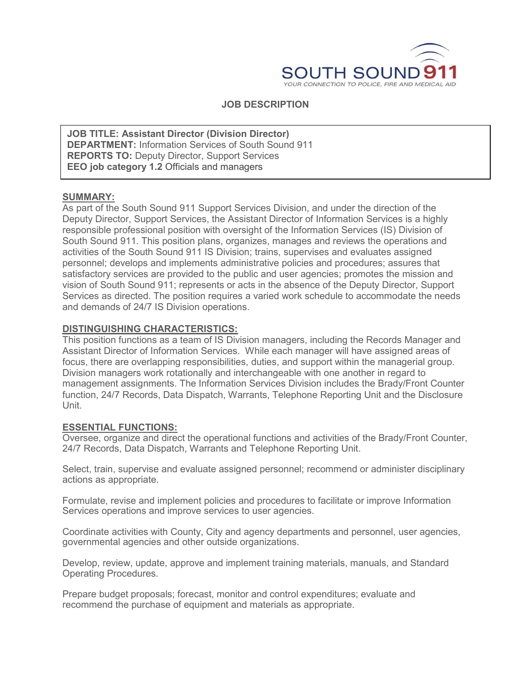

## **JOB DESCRIPTION**

**DEPARTMENT:** Information Services of South Sound 911 **JOB TITLE: Assistant Director (Division Director) REPORTS TO:** Deputy Director, Support Services **EEO job category 1.2** Officials and managers

# **SUMMARY:**

As part of the South Sound 911 Support Services Division, and under the direction of the Deputy Director, Support Services, the Assistant Director of Information Services is a highly responsible professional position with oversight of the Information Services (IS) Division of South Sound 911. This position plans, organizes, manages and reviews the operations and activities of the South Sound 911 IS Division; trains, supervises and evaluates assigned personnel; develops and implements administrative policies and procedures; assures that satisfactory services are provided to the public and user agencies; promotes the mission and vision of South Sound 911; represents or acts in the absence of the Deputy Director, Support Services as directed. The position requires a varied work schedule to accommodate the needs and demands of 24/7 IS Division operations.

## **DISTINGUISHING CHARACTERISTICS:**

This position functions as a team of IS Division managers, including the Records Manager and Assistant Director of Information Services. While each manager will have assigned areas of focus, there are overlapping responsibilities, duties, and support within the managerial group. Division managers work rotationally and interchangeable with one another in regard to management assignments. The Information Services Division includes the Brady/Front Counter function, 24/7 Records, Data Dispatch, Warrants, Telephone Reporting Unit and the Disclosure Unit.

#### **ESSENTIAL FUNCTIONS:**

Oversee, organize and direct the operational functions and activities of the Brady/Front Counter, 24/7 Records, Data Dispatch, Warrants and Telephone Reporting Unit.

Select, train, supervise and evaluate assigned personnel; recommend or administer disciplinary actions as appropriate.

Formulate, revise and implement policies and procedures to facilitate or improve Information Services operations and improve services to user agencies.

Coordinate activities with County, City and agency departments and personnel, user agencies, governmental agencies and other outside organizations.

Develop, review, update, approve and implement training materials, manuals, and Standard Operating Procedures.

Prepare budget proposals; forecast, monitor and control expenditures; evaluate and recommend the purchase of equipment and materials as appropriate.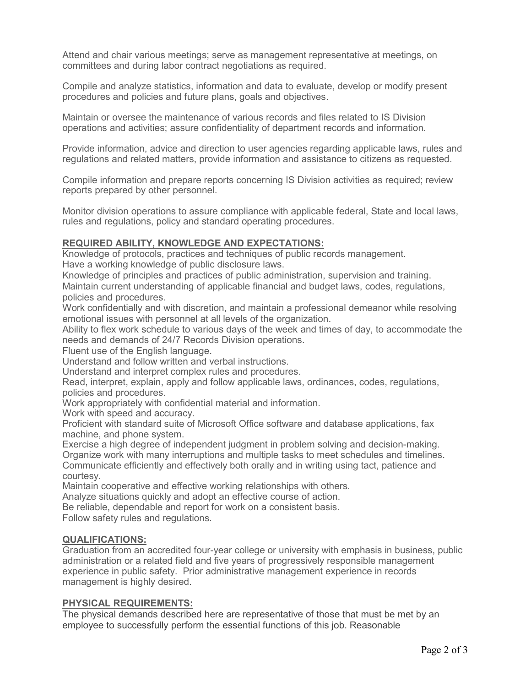Attend and chair various meetings; serve as management representative at meetings, on committees and during labor contract negotiations as required.

Compile and analyze statistics, information and data to evaluate, develop or modify present procedures and policies and future plans, goals and objectives.

Maintain or oversee the maintenance of various records and files related to IS Division operations and activities; assure confidentiality of department records and information.

Provide information, advice and direction to user agencies regarding applicable laws, rules and regulations and related matters, provide information and assistance to citizens as requested.

Compile information and prepare reports concerning IS Division activities as required; review reports prepared by other personnel.

Monitor division operations to assure compliance with applicable federal, State and local laws, rules and regulations, policy and standard operating procedures.

## **REQUIRED ABILITY, KNOWLEDGE AND EXPECTATIONS:**

Knowledge of protocols, practices and techniques of public records management. Have a working knowledge of public disclosure laws.

Knowledge of principles and practices of public administration, supervision and training.

Maintain current understanding of applicable financial and budget laws, codes, regulations, policies and procedures.

Work confidentially and with discretion, and maintain a professional demeanor while resolving emotional issues with personnel at all levels of the organization.

Ability to flex work schedule to various days of the week and times of day, to accommodate the needs and demands of 24/7 Records Division operations.

Fluent use of the English language.

Understand and follow written and verbal instructions.

Understand and interpret complex rules and procedures.

Read, interpret, explain, apply and follow applicable laws, ordinances, codes, regulations, policies and procedures.

Work appropriately with confidential material and information.

Work with speed and accuracy.

Proficient with standard suite of Microsoft Office software and database applications, fax machine, and phone system.

Exercise a high degree of independent judgment in problem solving and decision-making. Organize work with many interruptions and multiple tasks to meet schedules and timelines.

Communicate efficiently and effectively both orally and in writing using tact, patience and courtesy.

Maintain cooperative and effective working relationships with others.

Analyze situations quickly and adopt an effective course of action.

Be reliable, dependable and report for work on a consistent basis.

Follow safety rules and regulations.

#### **QUALIFICATIONS:**

Graduation from an accredited four-year college or university with emphasis in business, public administration or a related field and five years of progressively responsible management experience in public safety. Prior administrative management experience in records management is highly desired.

#### **PHYSICAL REQUIREMENTS:**

The physical demands described here are representative of those that must be met by an employee to successfully perform the essential functions of this job. Reasonable